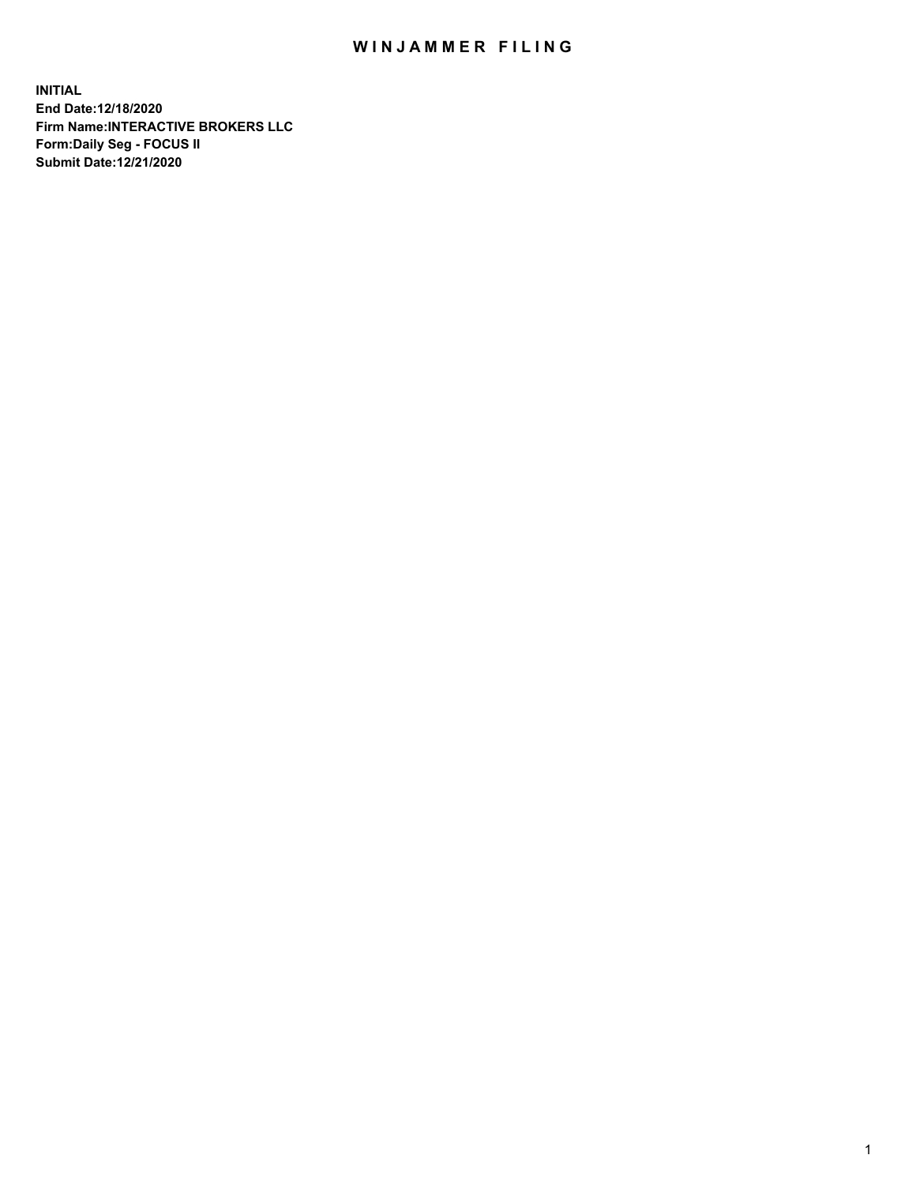## WIN JAMMER FILING

**INITIAL End Date:12/18/2020 Firm Name:INTERACTIVE BROKERS LLC Form:Daily Seg - FOCUS II Submit Date:12/21/2020**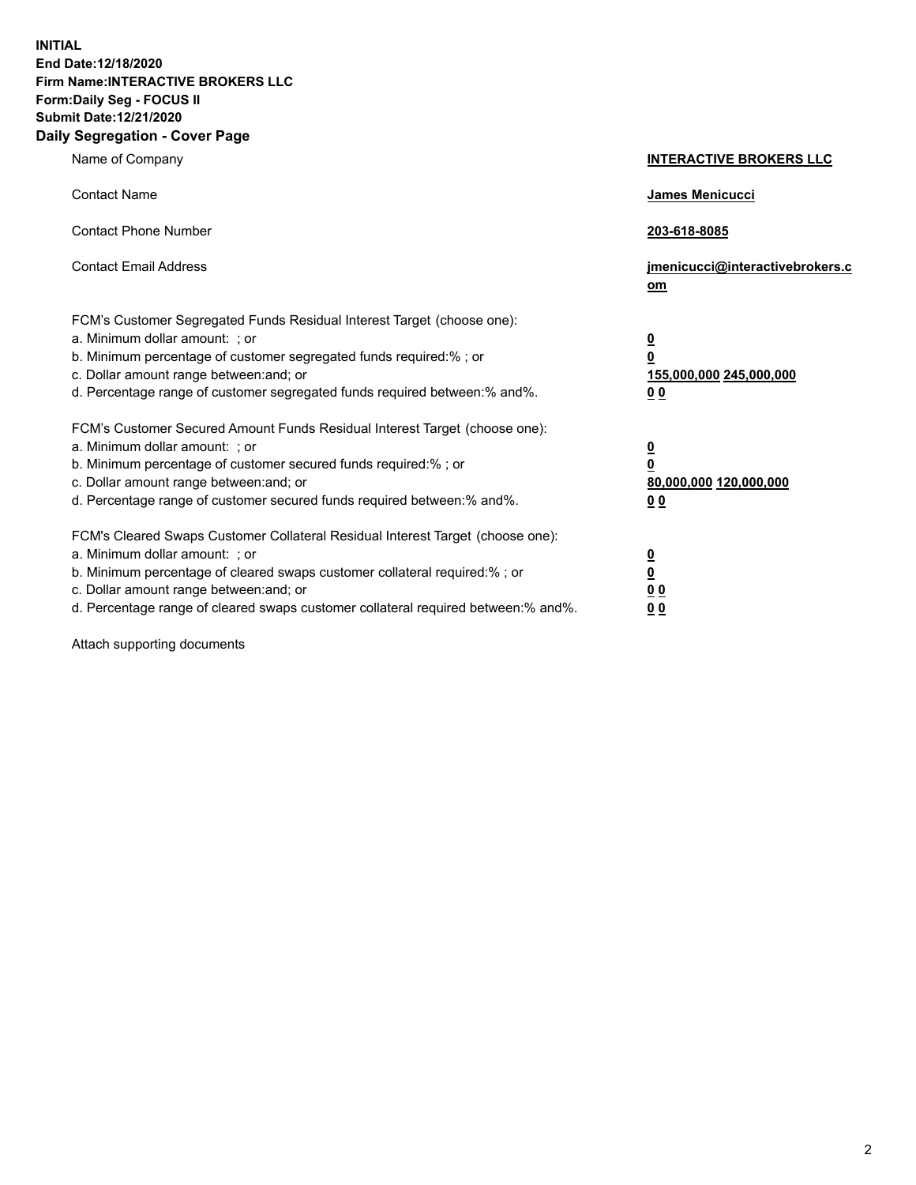**INITIAL End Date:12/18/2020 Firm Name:INTERACTIVE BROKERS LLC Form:Daily Seg - FOCUS II Submit Date:12/21/2020 Daily Segregation - Cover Page**

| Name of Company                                                                                                                                                                                                                                                                                                                | <b>INTERACTIVE BROKERS LLC</b>                                                                           |  |
|--------------------------------------------------------------------------------------------------------------------------------------------------------------------------------------------------------------------------------------------------------------------------------------------------------------------------------|----------------------------------------------------------------------------------------------------------|--|
| <b>Contact Name</b>                                                                                                                                                                                                                                                                                                            | James Menicucci                                                                                          |  |
| <b>Contact Phone Number</b>                                                                                                                                                                                                                                                                                                    | 203-618-8085                                                                                             |  |
| <b>Contact Email Address</b>                                                                                                                                                                                                                                                                                                   | jmenicucci@interactivebrokers.c<br>om                                                                    |  |
| FCM's Customer Segregated Funds Residual Interest Target (choose one):<br>a. Minimum dollar amount: ; or<br>b. Minimum percentage of customer segregated funds required:%; or<br>c. Dollar amount range between: and; or<br>d. Percentage range of customer segregated funds required between:% and%.                          | $\overline{\mathbf{0}}$<br>$\overline{\mathbf{0}}$<br>155,000,000 245,000,000<br>0 <sub>0</sub>          |  |
| FCM's Customer Secured Amount Funds Residual Interest Target (choose one):<br>a. Minimum dollar amount: ; or<br>b. Minimum percentage of customer secured funds required:% ; or<br>c. Dollar amount range between: and; or<br>d. Percentage range of customer secured funds required between:% and%.                           | $\overline{\mathbf{0}}$<br>$\overline{\mathbf{0}}$<br>80,000,000 120,000,000<br>0 <sub>0</sub>           |  |
| FCM's Cleared Swaps Customer Collateral Residual Interest Target (choose one):<br>a. Minimum dollar amount: ; or<br>b. Minimum percentage of cleared swaps customer collateral required:% ; or<br>c. Dollar amount range between: and; or<br>d. Percentage range of cleared swaps customer collateral required between:% and%. | $\overline{\mathbf{0}}$<br>$\underline{\mathbf{0}}$<br>$\underline{0}$ $\underline{0}$<br>0 <sub>0</sub> |  |

Attach supporting documents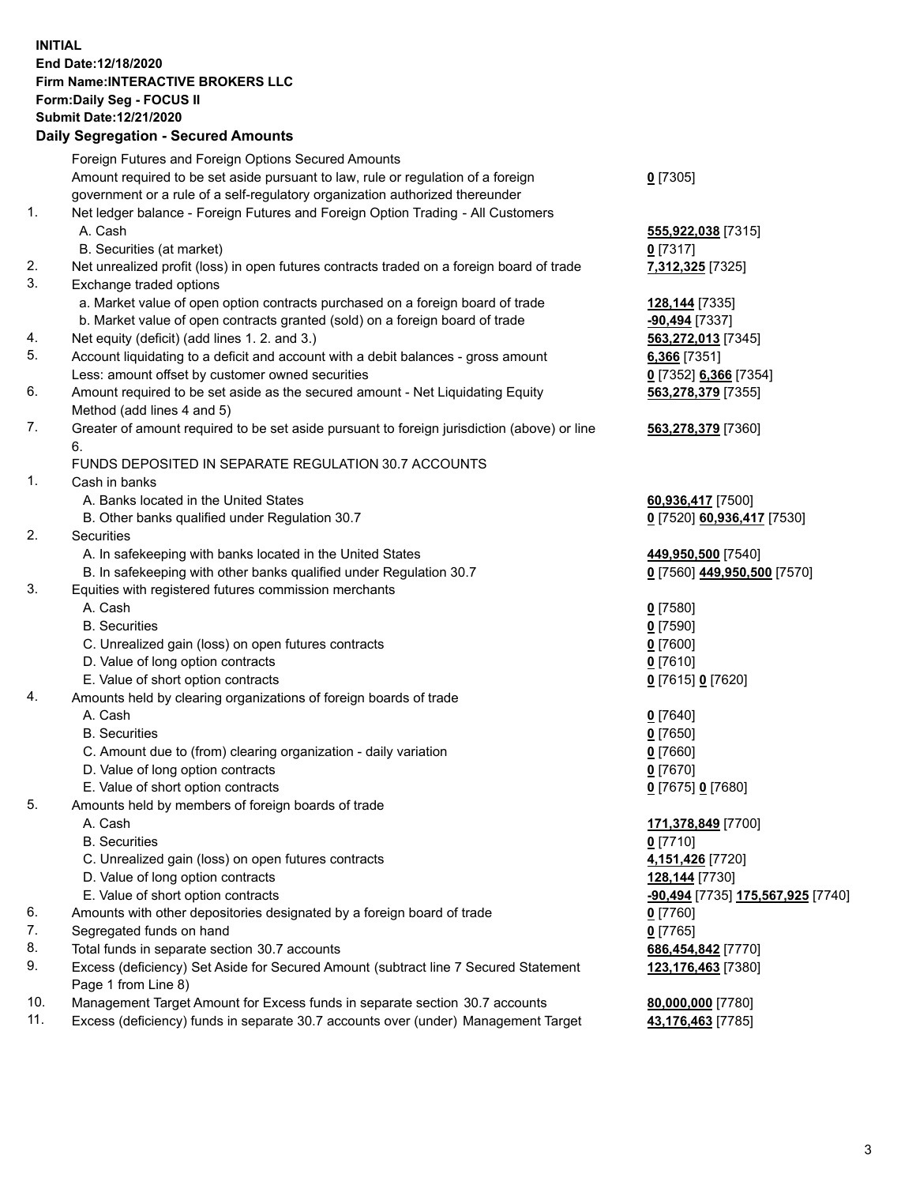**INITIAL End Date:12/18/2020 Firm Name:INTERACTIVE BROKERS LLC Form:Daily Seg - FOCUS II Submit Date:12/21/2020 Daily Segregation - Secured Amounts**

## Foreign Futures and Foreign Options Secured Amounts Amount required to be set aside pursuant to law, rule or regulation of a foreign government or a rule of a self-regulatory organization authorized thereunder **0** [7305] 1. Net ledger balance - Foreign Futures and Foreign Option Trading - All Customers A. Cash **555,922,038** [7315] B. Securities (at market) **0** [7317] 2. Net unrealized profit (loss) in open futures contracts traded on a foreign board of trade **7,312,325** [7325] 3. Exchange traded options a. Market value of open option contracts purchased on a foreign board of trade **128,144** [7335] b. Market value of open contracts granted (sold) on a foreign board of trade **-90,494** [7337] 4. Net equity (deficit) (add lines 1. 2. and 3.) **563,272,013** [7345] 5. Account liquidating to a deficit and account with a debit balances - gross amount **6,366** [7351] Less: amount offset by customer owned securities **0** [7352] **6,366** [7354] 6. Amount required to be set aside as the secured amount - Net Liquidating Equity Method (add lines 4 and 5) **563,278,379** [7355] 7. Greater of amount required to be set aside pursuant to foreign jurisdiction (above) or line 6. **563,278,379** [7360] FUNDS DEPOSITED IN SEPARATE REGULATION 30.7 ACCOUNTS 1. Cash in banks A. Banks located in the United States **60,936,417** [7500] B. Other banks qualified under Regulation 30.7 **0** [7520] **60,936,417** [7530] 2. Securities A. In safekeeping with banks located in the United States **449,950,500** [7540] B. In safekeeping with other banks qualified under Regulation 30.7 **0** [7560] **449,950,500** [7570] 3. Equities with registered futures commission merchants A. Cash **0** [7580] B. Securities **0** [7590] C. Unrealized gain (loss) on open futures contracts **0** [7600] D. Value of long option contracts **0** [7610] E. Value of short option contracts **0** [7615] **0** [7620] 4. Amounts held by clearing organizations of foreign boards of trade A. Cash **0** [7640] B. Securities **0** [7650] C. Amount due to (from) clearing organization - daily variation **0** [7660] D. Value of long option contracts **0** [7670] E. Value of short option contracts **0** [7675] **0** [7680] 5. Amounts held by members of foreign boards of trade A. Cash **171,378,849** [7700] B. Securities **0** [7710] C. Unrealized gain (loss) on open futures contracts **4,151,426** [7720] D. Value of long option contracts **128,144** [7730] E. Value of short option contracts **-90,494** [7735] **175,567,925** [7740] 6. Amounts with other depositories designated by a foreign board of trade **0** [7760] 7. Segregated funds on hand **0** [7765] 8. Total funds in separate section 30.7 accounts **686,454,842** [7770] 9. Excess (deficiency) Set Aside for Secured Amount (subtract line 7 Secured Statement Page 1 from Line 8) **123,176,463** [7380] 10. Management Target Amount for Excess funds in separate section 30.7 accounts **80,000,000** [7780] 11. Excess (deficiency) funds in separate 30.7 accounts over (under) Management Target **43,176,463** [7785]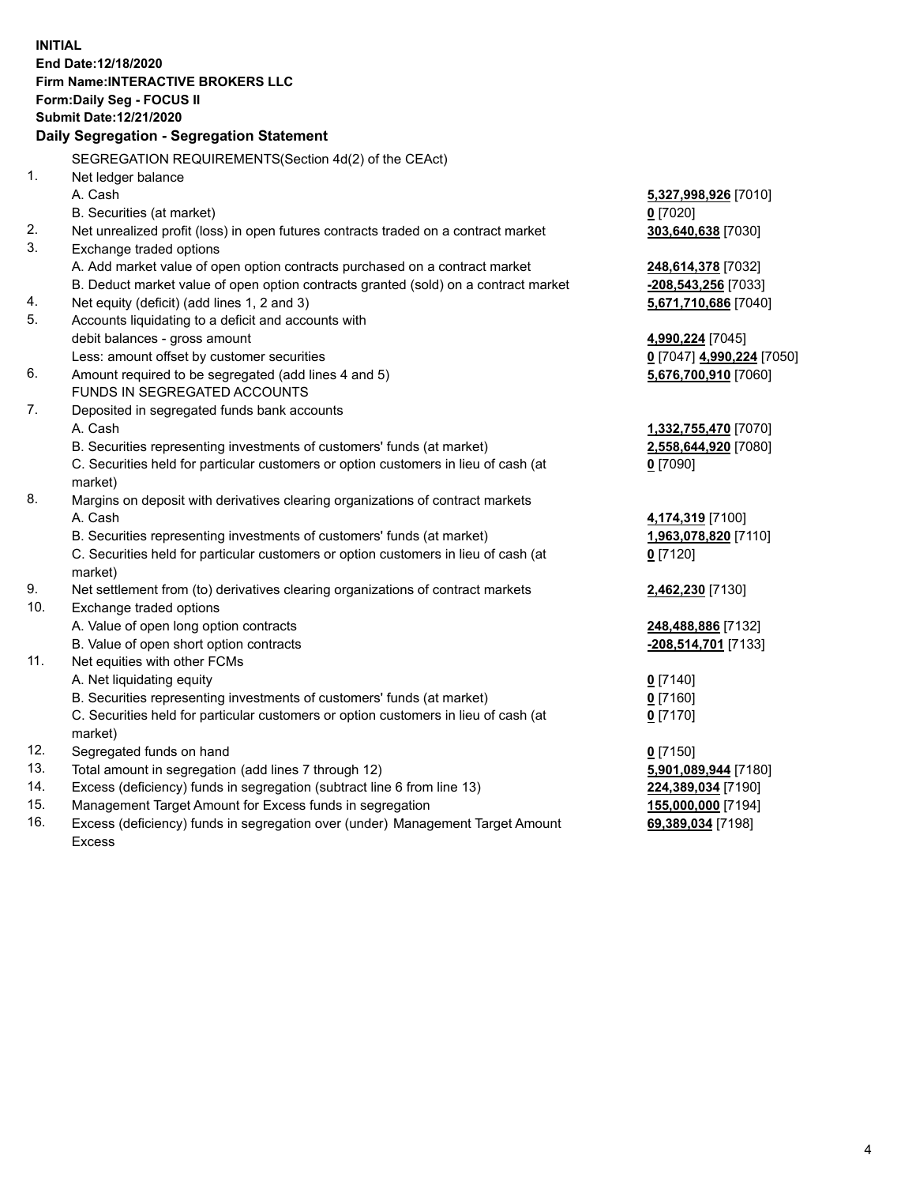**INITIAL End Date:12/18/2020 Firm Name:INTERACTIVE BROKERS LLC Form:Daily Seg - FOCUS II Submit Date:12/21/2020 Daily Segregation - Segregation Statement** SEGREGATION REQUIREMENTS(Section 4d(2) of the CEAct) 1. Net ledger balance A. Cash **5,327,998,926** [7010] B. Securities (at market) **0** [7020] 2. Net unrealized profit (loss) in open futures contracts traded on a contract market **303,640,638** [7030] 3. Exchange traded options A. Add market value of open option contracts purchased on a contract market **248,614,378** [7032] B. Deduct market value of open option contracts granted (sold) on a contract market **-208,543,256** [7033] 4. Net equity (deficit) (add lines 1, 2 and 3) **5,671,710,686** [7040] 5. Accounts liquidating to a deficit and accounts with debit balances - gross amount **4,990,224** [7045] Less: amount offset by customer securities **0** [7047] **4,990,224** [7050] 6. Amount required to be segregated (add lines 4 and 5) **5,676,700,910** [7060] FUNDS IN SEGREGATED ACCOUNTS 7. Deposited in segregated funds bank accounts A. Cash **1,332,755,470** [7070] B. Securities representing investments of customers' funds (at market) **2,558,644,920** [7080] C. Securities held for particular customers or option customers in lieu of cash (at market) **0** [7090] 8. Margins on deposit with derivatives clearing organizations of contract markets A. Cash **4,174,319** [7100] B. Securities representing investments of customers' funds (at market) **1,963,078,820** [7110] C. Securities held for particular customers or option customers in lieu of cash (at market) **0** [7120] 9. Net settlement from (to) derivatives clearing organizations of contract markets **2,462,230** [7130] 10. Exchange traded options A. Value of open long option contracts **248,488,886** [7132] B. Value of open short option contracts **-208,514,701** [7133] 11. Net equities with other FCMs A. Net liquidating equity **0** [7140] B. Securities representing investments of customers' funds (at market) **0** [7160] C. Securities held for particular customers or option customers in lieu of cash (at market) **0** [7170] 12. Segregated funds on hand **0** [7150] 13. Total amount in segregation (add lines 7 through 12) **5,901,089,944** [7180] 14. Excess (deficiency) funds in segregation (subtract line 6 from line 13) **224,389,034** [7190] 15. Management Target Amount for Excess funds in segregation **155,000,000** [7194]

16. Excess (deficiency) funds in segregation over (under) Management Target Amount Excess

**69,389,034** [7198]